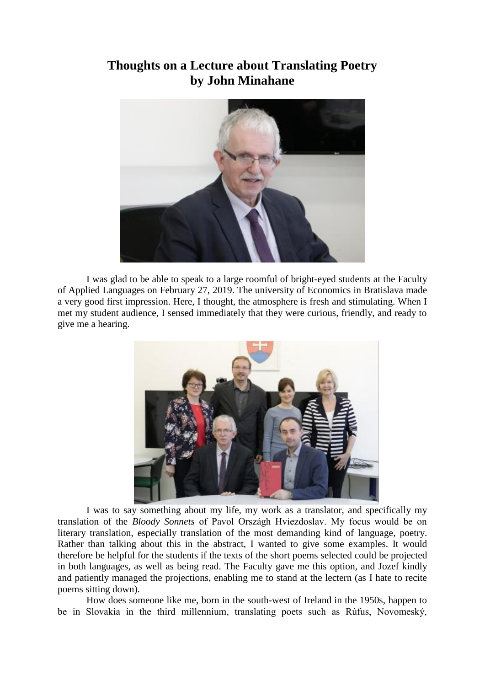## **Thoughts on a Lecture about Translating Poetry by John Minahane**



I was glad to be able to speak to a large roomful of bright-eyed students at the Faculty of Applied Languages on February 27, 2019. The university of Economics in Bratislava made a very good first impression. Here, I thought, the atmosphere is fresh and stimulating. When I met my student audience, I sensed immediately that they were curious, friendly, and ready to give me a hearing.



I was to say something about my life, my work as a translator, and specifically my translation of the *Bloody Sonnets* of Pavol Országh Hviezdoslav. My focus would be on literary translation, especially translation of the most demanding kind of language, poetry. Rather than talking about this in the abstract, I wanted to give some examples. It would therefore be helpful for the students if the texts of the short poems selected could be projected in both languages, as well as being read. The Faculty gave me this option, and Jozef kindly and patiently managed the projections, enabling me to stand at the lectern (as I hate to recite poems sitting down).

How does someone like me, born in the south-west of Ireland in the 1950s, happen to be in Slovakia in the third millennium, translating poets such as Rúfus, Novomeský,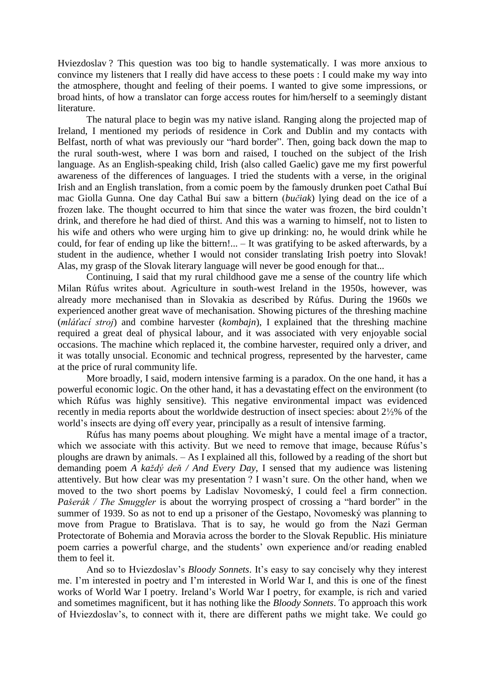Hviezdoslav ? This question was too big to handle systematically. I was more anxious to convince my listeners that I really did have access to these poets : I could make my way into the atmosphere, thought and feeling of their poems. I wanted to give some impressions, or broad hints, of how a translator can forge access routes for him/herself to a seemingly distant literature.

The natural place to begin was my native island. Ranging along the projected map of Ireland, I mentioned my periods of residence in Cork and Dublin and my contacts with Belfast, north of what was previously our "hard border". Then, going back down the map to the rural south-west, where I was born and raised, I touched on the subject of the Irish language. As an English-speaking child, Irish (also called Gaelic) gave me my first powerful awareness of the differences of languages. I tried the students with a verse, in the original Irish and an English translation, from a comic poem by the famously drunken poet Cathal Buí mac Giolla Gunna. One day Cathal Buí saw a bittern (*bučiak*) lying dead on the ice of a frozen lake. The thought occurred to him that since the water was frozen, the bird couldn't drink, and therefore he had died of thirst. And this was a warning to himself, not to listen to his wife and others who were urging him to give up drinking: no, he would drink while he could, for fear of ending up like the bittern!... – It was gratifying to be asked afterwards, by a student in the audience, whether I would not consider translating Irish poetry into Slovak! Alas, my grasp of the Slovak literary language will never be good enough for that...

Continuing, I said that my rural childhood gave me a sense of the country life which Milan Rúfus writes about. Agriculture in south-west Ireland in the 1950s, however, was already more mechanised than in Slovakia as described by Rúfus. During the 1960s we experienced another great wave of mechanisation. Showing pictures of the threshing machine (*mláťací stroj*) and combine harvester (*kombajn*), I explained that the threshing machine required a great deal of physical labour, and it was associated with very enjoyable social occasions. The machine which replaced it, the combine harvester, required only a driver, and it was totally unsocial. Economic and technical progress, represented by the harvester, came at the price of rural community life.

More broadly, I said, modern intensive farming is a paradox. On the one hand, it has a powerful economic logic. On the other hand, it has a devastating effect on the environment (to which Rúfus was highly sensitive). This negative environmental impact was evidenced recently in media reports about the worldwide destruction of insect species: about 2½% of the world's insects are dying off every year, principally as a result of intensive farming.

Rúfus has many poems about ploughing. We might have a mental image of a tractor, which we associate with this activity. But we need to remove that image, because Rúfus's ploughs are drawn by animals. – As I explained all this, followed by a reading of the short but demanding poem *A každý deň / And Every Day*, I sensed that my audience was listening attentively. But how clear was my presentation ? I wasn't sure. On the other hand, when we moved to the two short poems by Ladislav Novomeský, I could feel a firm connection. *Pašerák / The Smuggler* is about the worrying prospect of crossing a "hard border" in the summer of 1939. So as not to end up a prisoner of the Gestapo, Novomeský was planning to move from Prague to Bratislava. That is to say, he would go from the Nazi German Protectorate of Bohemia and Moravia across the border to the Slovak Republic. His miniature poem carries a powerful charge, and the students' own experience and/or reading enabled them to feel it.

And so to Hviezdoslav's *Bloody Sonnets*. It's easy to say concisely why they interest me. I'm interested in poetry and I'm interested in World War I, and this is one of the finest works of World War I poetry. Ireland's World War I poetry, for example, is rich and varied and sometimes magnificent, but it has nothing like the *Bloody Sonnets*. To approach this work of Hviezdoslav's, to connect with it, there are different paths we might take. We could go